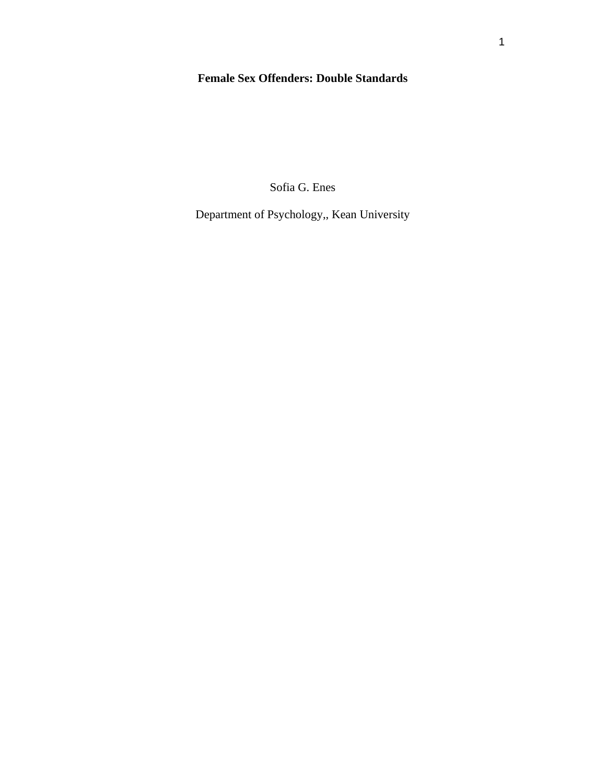# **Female Sex Offenders: Double Standards**

Sofia G. Enes

Department of Psychology,, Kean University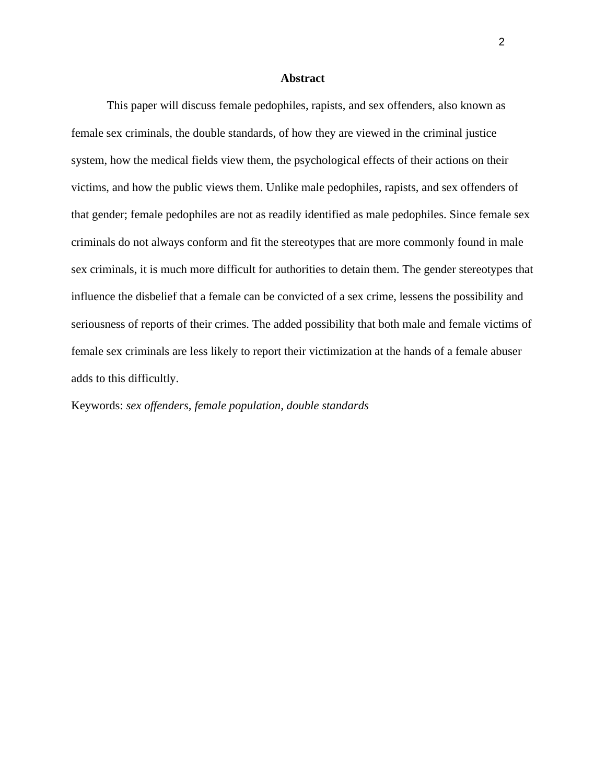#### **Abstract**

This paper will discuss female pedophiles, rapists, and sex offenders, also known as female sex criminals, the double standards, of how they are viewed in the criminal justice system, how the medical fields view them, the psychological effects of their actions on their victims, and how the public views them. Unlike male pedophiles, rapists, and sex offenders of that gender; female pedophiles are not as readily identified as male pedophiles. Since female sex criminals do not always conform and fit the stereotypes that are more commonly found in male sex criminals, it is much more difficult for authorities to detain them. The gender stereotypes that influence the disbelief that a female can be convicted of a sex crime, lessens the possibility and seriousness of reports of their crimes. The added possibility that both male and female victims of female sex criminals are less likely to report their victimization at the hands of a female abuser adds to this difficultly.

Keywords: *sex offenders, female population, double standards*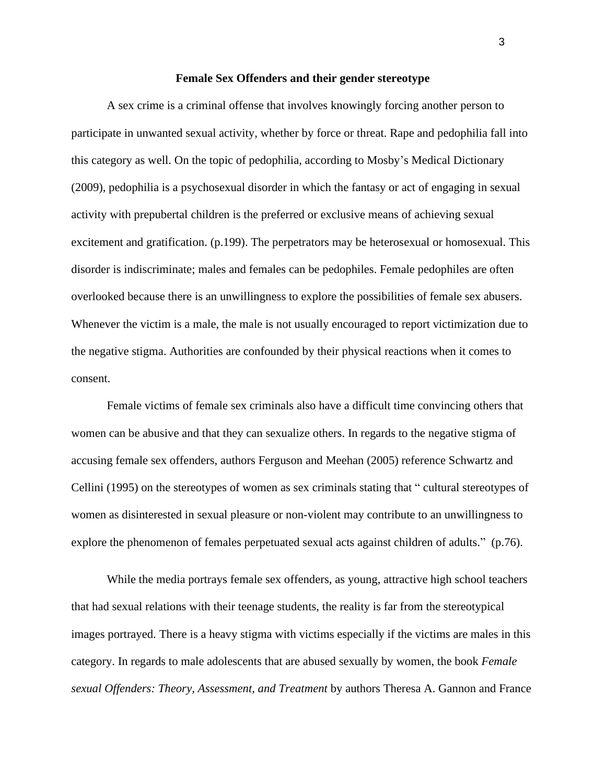#### **Female Sex Offenders and their gender stereotype**

A sex crime is a criminal offense that involves knowingly forcing another person to participate in unwanted sexual activity, whether by force or threat. Rape and pedophilia fall into this category as well. On the topic of pedophilia, according to Mosby's Medical Dictionary (2009), pedophilia is a psychosexual disorder in which the fantasy or act of engaging in sexual activity with prepubertal children is the preferred or exclusive means of achieving sexual excitement and gratification. (p.199). The perpetrators may be heterosexual or homosexual. This disorder is indiscriminate; males and females can be pedophiles. Female pedophiles are often overlooked because there is an unwillingness to explore the possibilities of female sex abusers. Whenever the victim is a male, the male is not usually encouraged to report victimization due to the negative stigma. Authorities are confounded by their physical reactions when it comes to consent.

Female victims of female sex criminals also have a difficult time convincing others that women can be abusive and that they can sexualize others. In regards to the negative stigma of accusing female sex offenders, authors Ferguson and Meehan (2005) reference Schwartz and Cellini (1995) on the stereotypes of women as sex criminals stating that " cultural stereotypes of women as disinterested in sexual pleasure or non-violent may contribute to an unwillingness to explore the phenomenon of females perpetuated sexual acts against children of adults." (p.76).

While the media portrays female sex offenders, as young, attractive high school teachers that had sexual relations with their teenage students, the reality is far from the stereotypical images portrayed. There is a heavy stigma with victims especially if the victims are males in this category. In regards to male adolescents that are abused sexually by women, the book *Female sexual Offenders: Theory, Assessment, and Treatment* by authors Theresa A. Gannon and France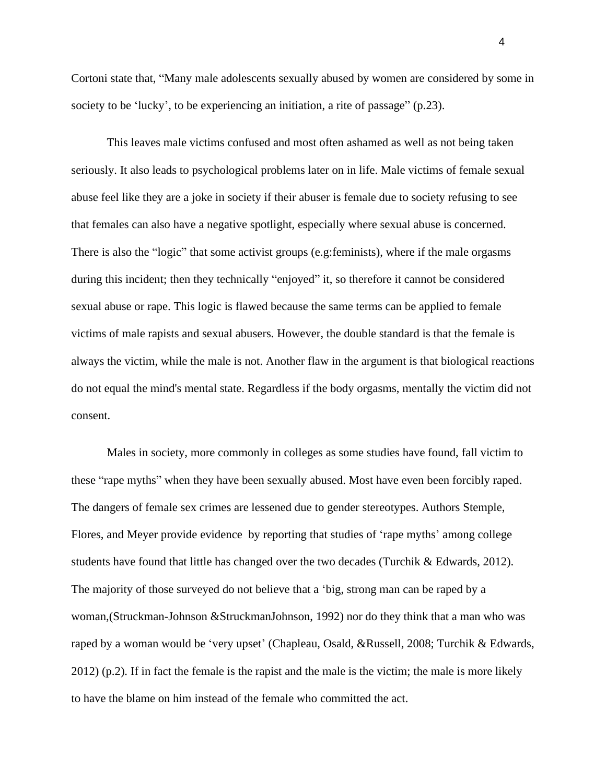Cortoni state that, "Many male adolescents sexually abused by women are considered by some in society to be 'lucky', to be experiencing an initiation, a rite of passage" (p.23).

This leaves male victims confused and most often ashamed as well as not being taken seriously. It also leads to psychological problems later on in life. Male victims of female sexual abuse feel like they are a joke in society if their abuser is female due to society refusing to see that females can also have a negative spotlight, especially where sexual abuse is concerned. There is also the "logic" that some activist groups (e.g:feminists), where if the male orgasms during this incident; then they technically "enjoyed" it, so therefore it cannot be considered sexual abuse or rape. This logic is flawed because the same terms can be applied to female victims of male rapists and sexual abusers. However, the double standard is that the female is always the victim, while the male is not. Another flaw in the argument is that biological reactions do not equal the mind's mental state. Regardless if the body orgasms, mentally the victim did not consent.

Males in society, more commonly in colleges as some studies have found, fall victim to these "rape myths" when they have been sexually abused. Most have even been forcibly raped. The dangers of female sex crimes are lessened due to gender stereotypes. Authors Stemple, Flores, and Meyer provide evidence by reporting that studies of 'rape myths' among college students have found that little has changed over the two decades (Turchik & Edwards, 2012). The majority of those surveyed do not believe that a 'big, strong man can be raped by a woman,(Struckman-Johnson &StruckmanJohnson, 1992) nor do they think that a man who was raped by a woman would be 'very upset' (Chapleau, Osald, &Russell, 2008; Turchik & Edwards, 2012) (p.2). If in fact the female is the rapist and the male is the victim; the male is more likely to have the blame on him instead of the female who committed the act.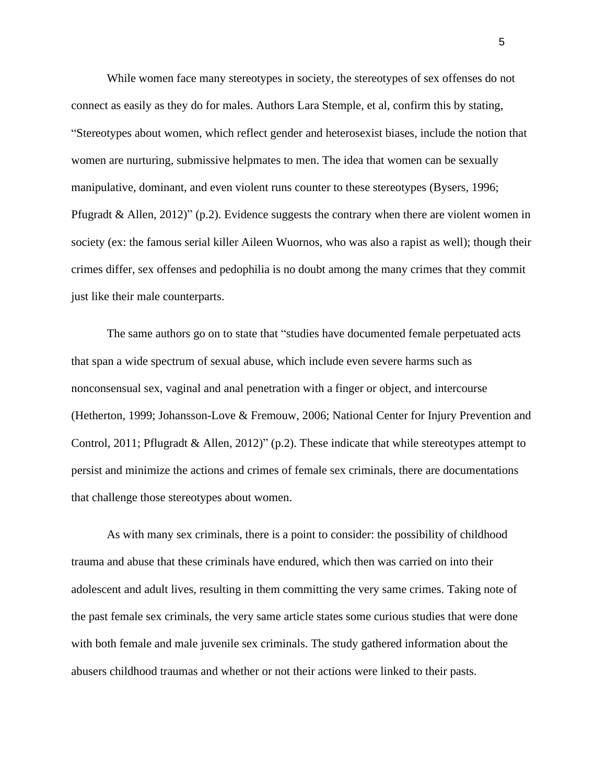While women face many stereotypes in society, the stereotypes of sex offenses do not connect as easily as they do for males. Authors Lara Stemple, et al, confirm this by stating, "Stereotypes about women, which reflect gender and heterosexist biases, include the notion that women are nurturing, submissive helpmates to men. The idea that women can be sexually manipulative, dominant, and even violent runs counter to these stereotypes (Bysers, 1996; Pfugradt & Allen, 2012)" (p.2). Evidence suggests the contrary when there are violent women in society (ex: the famous serial killer Aileen Wuornos, who was also a rapist as well); though their crimes differ, sex offenses and pedophilia is no doubt among the many crimes that they commit just like their male counterparts.

The same authors go on to state that "studies have documented female perpetuated acts that span a wide spectrum of sexual abuse, which include even severe harms such as nonconsensual sex, vaginal and anal penetration with a finger or object, and intercourse (Hetherton, 1999; Johansson-Love & Fremouw, 2006; National Center for Injury Prevention and Control, 2011; Pflugradt & Allen, 2012)" (p.2). These indicate that while stereotypes attempt to persist and minimize the actions and crimes of female sex criminals, there are documentations that challenge those stereotypes about women.

As with many sex criminals, there is a point to consider: the possibility of childhood trauma and abuse that these criminals have endured, which then was carried on into their adolescent and adult lives, resulting in them committing the very same crimes. Taking note of the past female sex criminals, the very same article states some curious studies that were done with both female and male juvenile sex criminals. The study gathered information about the abusers childhood traumas and whether or not their actions were linked to their pasts.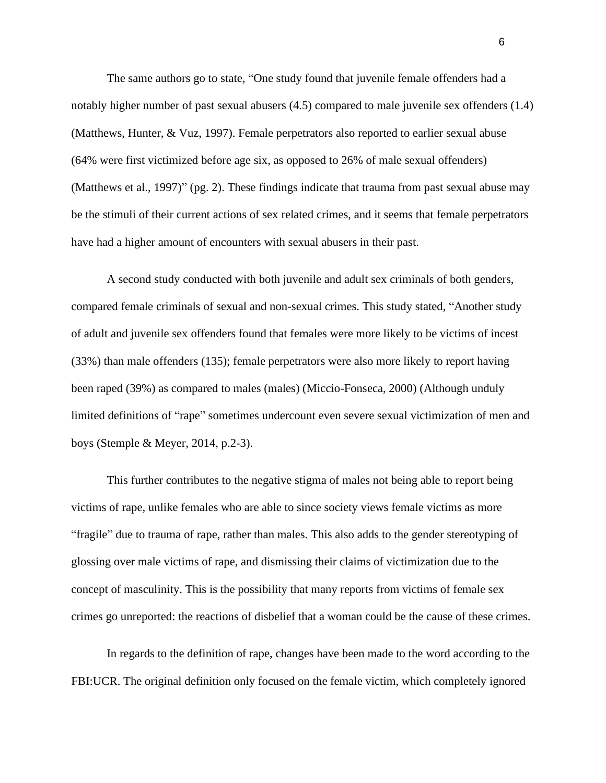The same authors go to state, "One study found that juvenile female offenders had a notably higher number of past sexual abusers (4.5) compared to male juvenile sex offenders (1.4) (Matthews, Hunter, & Vuz, 1997). Female perpetrators also reported to earlier sexual abuse (64% were first victimized before age six, as opposed to 26% of male sexual offenders) (Matthews et al., 1997)" (pg. 2). These findings indicate that trauma from past sexual abuse may be the stimuli of their current actions of sex related crimes, and it seems that female perpetrators have had a higher amount of encounters with sexual abusers in their past.

A second study conducted with both juvenile and adult sex criminals of both genders, compared female criminals of sexual and non-sexual crimes. This study stated, "Another study of adult and juvenile sex offenders found that females were more likely to be victims of incest (33%) than male offenders (135); female perpetrators were also more likely to report having been raped (39%) as compared to males (males) (Miccio-Fonseca, 2000) (Although unduly limited definitions of "rape" sometimes undercount even severe sexual victimization of men and boys (Stemple & Meyer, 2014, p.2-3).

This further contributes to the negative stigma of males not being able to report being victims of rape, unlike females who are able to since society views female victims as more "fragile" due to trauma of rape, rather than males. This also adds to the gender stereotyping of glossing over male victims of rape, and dismissing their claims of victimization due to the concept of masculinity. This is the possibility that many reports from victims of female sex crimes go unreported: the reactions of disbelief that a woman could be the cause of these crimes.

In regards to the definition of rape, changes have been made to the word according to the FBI:UCR. The original definition only focused on the female victim, which completely ignored

6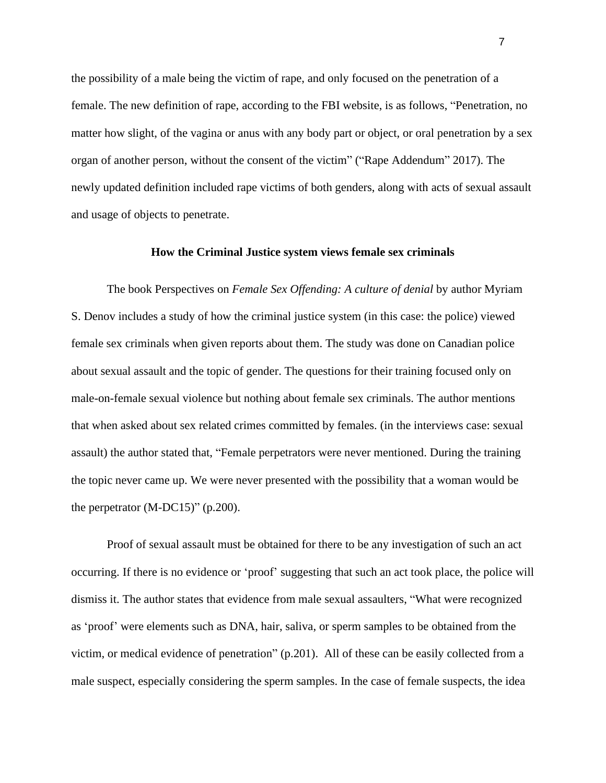the possibility of a male being the victim of rape, and only focused on the penetration of a female. The new definition of rape, according to the FBI website, is as follows, "Penetration, no matter how slight, of the vagina or anus with any body part or object, or oral penetration by a sex organ of another person, without the consent of the victim" ("Rape Addendum" 2017). The newly updated definition included rape victims of both genders, along with acts of sexual assault and usage of objects to penetrate.

### **How the Criminal Justice system views female sex criminals**

The book Perspectives on *Female Sex Offending: A culture of denial* by author Myriam S. Denov includes a study of how the criminal justice system (in this case: the police) viewed female sex criminals when given reports about them. The study was done on Canadian police about sexual assault and the topic of gender. The questions for their training focused only on male-on-female sexual violence but nothing about female sex criminals. The author mentions that when asked about sex related crimes committed by females. (in the interviews case: sexual assault) the author stated that, "Female perpetrators were never mentioned. During the training the topic never came up. We were never presented with the possibility that a woman would be the perpetrator (M-DC15)" (p.200).

Proof of sexual assault must be obtained for there to be any investigation of such an act occurring. If there is no evidence or 'proof' suggesting that such an act took place, the police will dismiss it. The author states that evidence from male sexual assaulters, "What were recognized as 'proof' were elements such as DNA, hair, saliva, or sperm samples to be obtained from the victim, or medical evidence of penetration" (p.201). All of these can be easily collected from a male suspect, especially considering the sperm samples. In the case of female suspects, the idea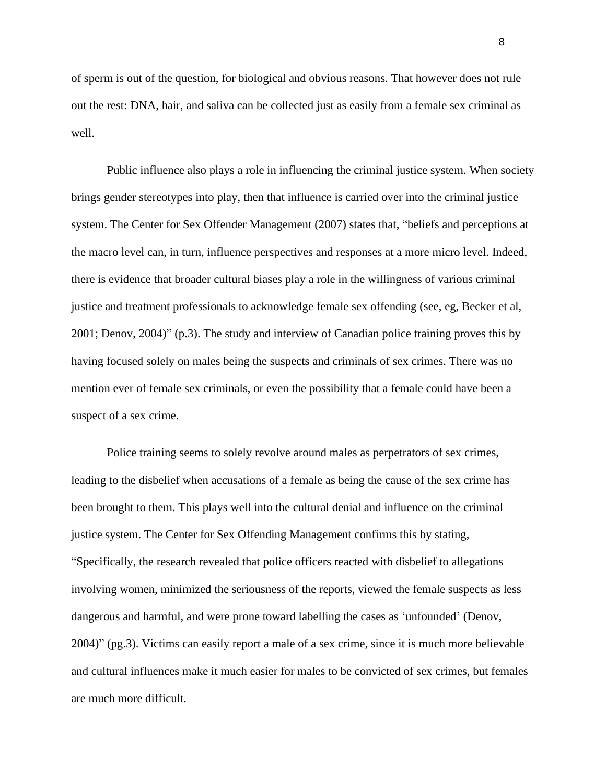of sperm is out of the question, for biological and obvious reasons. That however does not rule out the rest: DNA, hair, and saliva can be collected just as easily from a female sex criminal as well.

Public influence also plays a role in influencing the criminal justice system. When society brings gender stereotypes into play, then that influence is carried over into the criminal justice system. The Center for Sex Offender Management (2007) states that, "beliefs and perceptions at the macro level can, in turn, influence perspectives and responses at a more micro level. Indeed, there is evidence that broader cultural biases play a role in the willingness of various criminal justice and treatment professionals to acknowledge female sex offending (see, eg, Becker et al, 2001; Denov, 2004)" (p.3). The study and interview of Canadian police training proves this by having focused solely on males being the suspects and criminals of sex crimes. There was no mention ever of female sex criminals, or even the possibility that a female could have been a suspect of a sex crime.

Police training seems to solely revolve around males as perpetrators of sex crimes, leading to the disbelief when accusations of a female as being the cause of the sex crime has been brought to them. This plays well into the cultural denial and influence on the criminal justice system. The Center for Sex Offending Management confirms this by stating, "Specifically, the research revealed that police officers reacted with disbelief to allegations involving women, minimized the seriousness of the reports, viewed the female suspects as less dangerous and harmful, and were prone toward labelling the cases as 'unfounded' (Denov, 2004)" (pg.3). Victims can easily report a male of a sex crime, since it is much more believable and cultural influences make it much easier for males to be convicted of sex crimes, but females are much more difficult.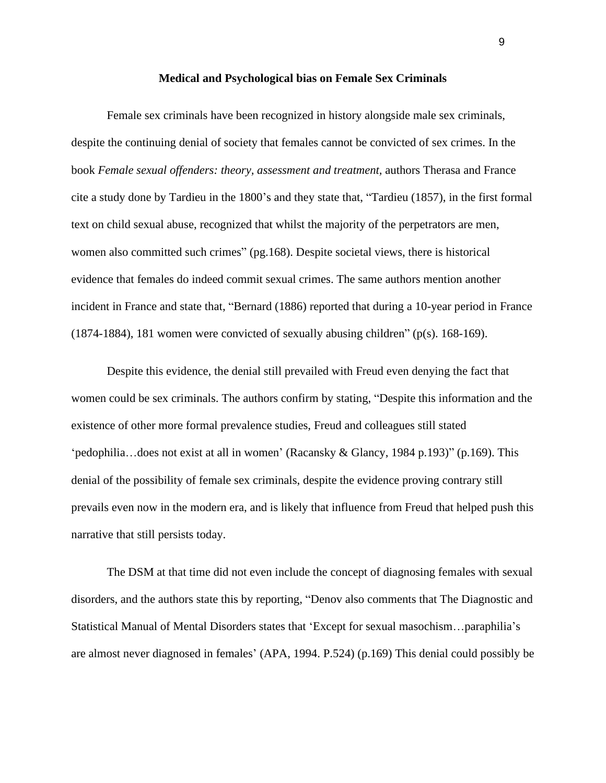#### **Medical and Psychological bias on Female Sex Criminals**

Female sex criminals have been recognized in history alongside male sex criminals, despite the continuing denial of society that females cannot be convicted of sex crimes. In the book *Female sexual offenders: theory, assessment and treatment,* authors Therasa and France cite a study done by Tardieu in the 1800's and they state that, "Tardieu (1857), in the first formal text on child sexual abuse, recognized that whilst the majority of the perpetrators are men, women also committed such crimes" (pg.168). Despite societal views, there is historical evidence that females do indeed commit sexual crimes. The same authors mention another incident in France and state that, "Bernard (1886) reported that during a 10-year period in France (1874-1884), 181 women were convicted of sexually abusing children" (p(s). 168-169).

Despite this evidence, the denial still prevailed with Freud even denying the fact that women could be sex criminals. The authors confirm by stating, "Despite this information and the existence of other more formal prevalence studies, Freud and colleagues still stated 'pedophilia…does not exist at all in women' (Racansky & Glancy, 1984 p.193)" (p.169). This denial of the possibility of female sex criminals, despite the evidence proving contrary still prevails even now in the modern era, and is likely that influence from Freud that helped push this narrative that still persists today.

The DSM at that time did not even include the concept of diagnosing females with sexual disorders, and the authors state this by reporting, "Denov also comments that The Diagnostic and Statistical Manual of Mental Disorders states that 'Except for sexual masochism…paraphilia's are almost never diagnosed in females' (APA, 1994. P.524) (p.169) This denial could possibly be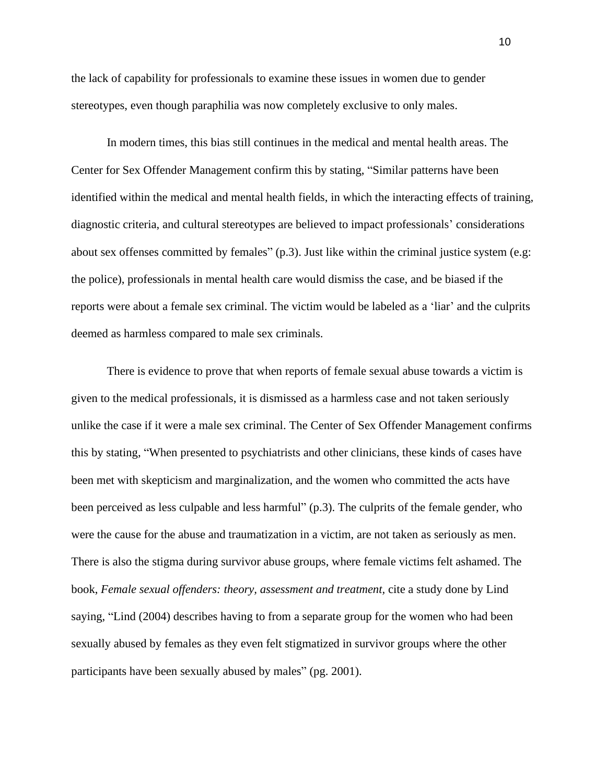the lack of capability for professionals to examine these issues in women due to gender stereotypes, even though paraphilia was now completely exclusive to only males.

In modern times, this bias still continues in the medical and mental health areas. The Center for Sex Offender Management confirm this by stating, "Similar patterns have been identified within the medical and mental health fields, in which the interacting effects of training, diagnostic criteria, and cultural stereotypes are believed to impact professionals' considerations about sex offenses committed by females" (p.3). Just like within the criminal justice system (e.g: the police), professionals in mental health care would dismiss the case, and be biased if the reports were about a female sex criminal. The victim would be labeled as a 'liar' and the culprits deemed as harmless compared to male sex criminals.

There is evidence to prove that when reports of female sexual abuse towards a victim is given to the medical professionals, it is dismissed as a harmless case and not taken seriously unlike the case if it were a male sex criminal. The Center of Sex Offender Management confirms this by stating, "When presented to psychiatrists and other clinicians, these kinds of cases have been met with skepticism and marginalization, and the women who committed the acts have been perceived as less culpable and less harmful" (p.3). The culprits of the female gender, who were the cause for the abuse and traumatization in a victim, are not taken as seriously as men. There is also the stigma during survivor abuse groups, where female victims felt ashamed. The book, *Female sexual offenders: theory, assessment and treatment,* cite a study done by Lind saying, "Lind (2004) describes having to from a separate group for the women who had been sexually abused by females as they even felt stigmatized in survivor groups where the other participants have been sexually abused by males" (pg. 2001).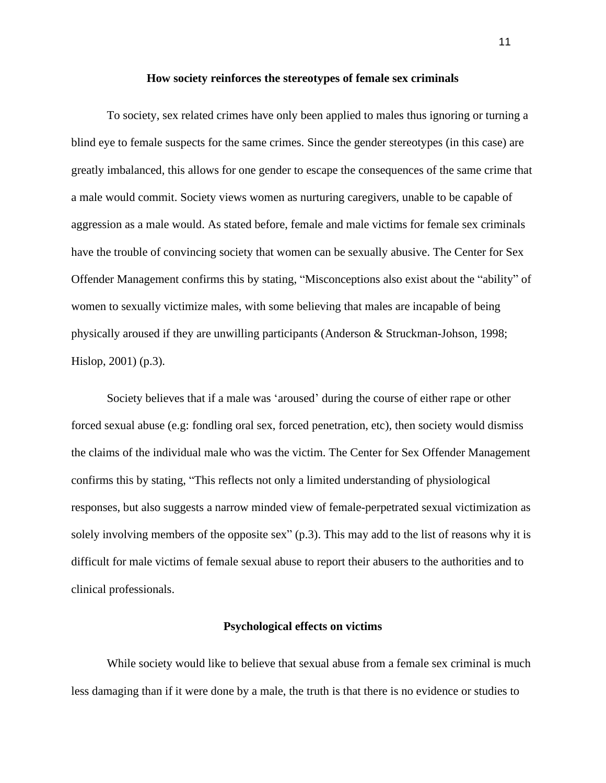#### **How society reinforces the stereotypes of female sex criminals**

To society, sex related crimes have only been applied to males thus ignoring or turning a blind eye to female suspects for the same crimes. Since the gender stereotypes (in this case) are greatly imbalanced, this allows for one gender to escape the consequences of the same crime that a male would commit. Society views women as nurturing caregivers, unable to be capable of aggression as a male would. As stated before, female and male victims for female sex criminals have the trouble of convincing society that women can be sexually abusive. The Center for Sex Offender Management confirms this by stating, "Misconceptions also exist about the "ability" of women to sexually victimize males, with some believing that males are incapable of being physically aroused if they are unwilling participants (Anderson & Struckman-Johson, 1998; Hislop, 2001) (p.3).

Society believes that if a male was 'aroused' during the course of either rape or other forced sexual abuse (e.g: fondling oral sex, forced penetration, etc), then society would dismiss the claims of the individual male who was the victim. The Center for Sex Offender Management confirms this by stating, "This reflects not only a limited understanding of physiological responses, but also suggests a narrow minded view of female-perpetrated sexual victimization as solely involving members of the opposite sex" (p.3). This may add to the list of reasons why it is difficult for male victims of female sexual abuse to report their abusers to the authorities and to clinical professionals.

#### **Psychological effects on victims**

While society would like to believe that sexual abuse from a female sex criminal is much less damaging than if it were done by a male, the truth is that there is no evidence or studies to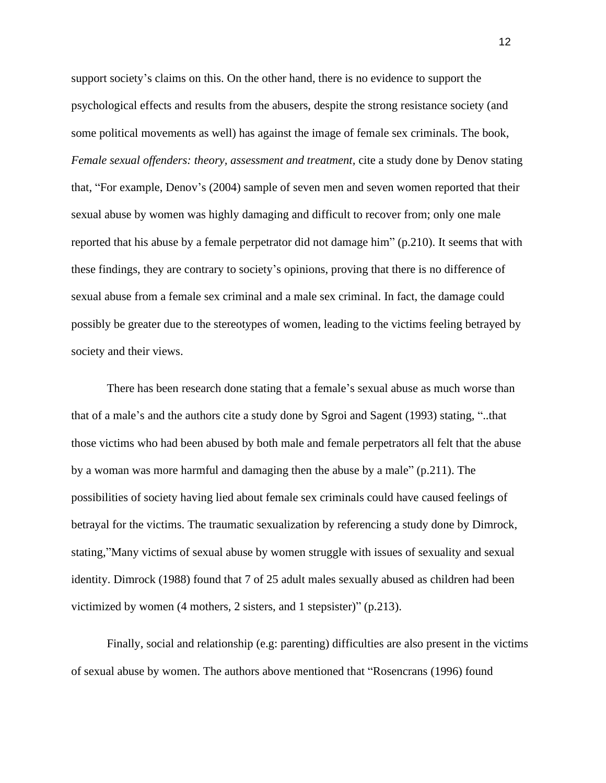support society's claims on this. On the other hand, there is no evidence to support the psychological effects and results from the abusers, despite the strong resistance society (and some political movements as well) has against the image of female sex criminals. The book, *Female sexual offenders: theory, assessment and treatment,* cite a study done by Denov stating that, "For example, Denov's (2004) sample of seven men and seven women reported that their sexual abuse by women was highly damaging and difficult to recover from; only one male reported that his abuse by a female perpetrator did not damage him" (p.210). It seems that with these findings, they are contrary to society's opinions, proving that there is no difference of sexual abuse from a female sex criminal and a male sex criminal. In fact, the damage could possibly be greater due to the stereotypes of women, leading to the victims feeling betrayed by society and their views.

There has been research done stating that a female's sexual abuse as much worse than that of a male's and the authors cite a study done by Sgroi and Sagent (1993) stating, "..that those victims who had been abused by both male and female perpetrators all felt that the abuse by a woman was more harmful and damaging then the abuse by a male" (p.211). The possibilities of society having lied about female sex criminals could have caused feelings of betrayal for the victims. The traumatic sexualization by referencing a study done by Dimrock, stating,"Many victims of sexual abuse by women struggle with issues of sexuality and sexual identity. Dimrock (1988) found that 7 of 25 adult males sexually abused as children had been victimized by women (4 mothers, 2 sisters, and 1 stepsister)" (p.213).

Finally, social and relationship (e.g: parenting) difficulties are also present in the victims of sexual abuse by women. The authors above mentioned that "Rosencrans (1996) found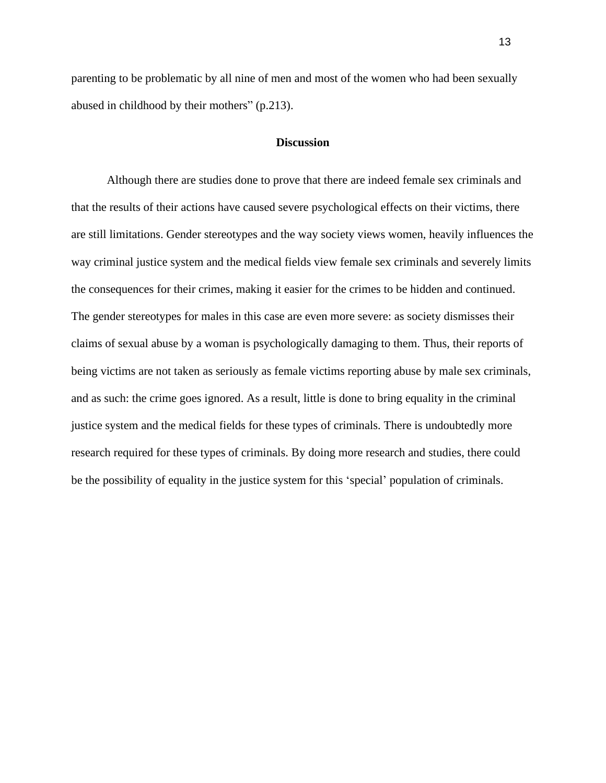parenting to be problematic by all nine of men and most of the women who had been sexually abused in childhood by their mothers" (p.213).

### **Discussion**

Although there are studies done to prove that there are indeed female sex criminals and that the results of their actions have caused severe psychological effects on their victims, there are still limitations. Gender stereotypes and the way society views women, heavily influences the way criminal justice system and the medical fields view female sex criminals and severely limits the consequences for their crimes, making it easier for the crimes to be hidden and continued. The gender stereotypes for males in this case are even more severe: as society dismisses their claims of sexual abuse by a woman is psychologically damaging to them. Thus, their reports of being victims are not taken as seriously as female victims reporting abuse by male sex criminals, and as such: the crime goes ignored. As a result, little is done to bring equality in the criminal justice system and the medical fields for these types of criminals. There is undoubtedly more research required for these types of criminals. By doing more research and studies, there could be the possibility of equality in the justice system for this 'special' population of criminals.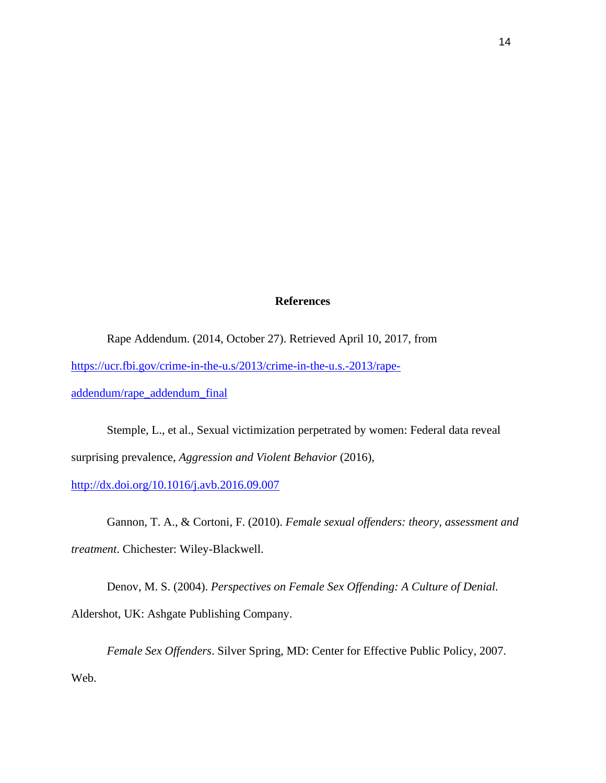## **References**

Rape Addendum. (2014, October 27). Retrieved April 10, 2017, from [https://ucr.fbi.gov/crime-in-the-u.s/2013/crime-in-the-u.s.-2013/rape](https://ucr.fbi.gov/crime-in-the-u.s/2013/crime-in-the-u.s.-2013/rape-addendum/rape_addendum_final)[addendum/rape\\_addendum\\_final](https://ucr.fbi.gov/crime-in-the-u.s/2013/crime-in-the-u.s.-2013/rape-addendum/rape_addendum_final)

Stemple, L., et al., Sexual victimization perpetrated by women: Federal data reveal surprising prevalence, *Aggression and Violent Behavior* (2016),

<http://dx.doi.org/10.1016/j.avb.2016.09.007>

Gannon, T. A., & Cortoni, F. (2010). *Female sexual offenders: theory, assessment and treatment*. Chichester: Wiley-Blackwell.

Denov, M. S. (2004). *Perspectives on Female Sex Offending: A Culture of Denial.* Aldershot, UK: Ashgate Publishing Company.

*Female Sex Offenders*. Silver Spring, MD: Center for Effective Public Policy, 2007. Web.